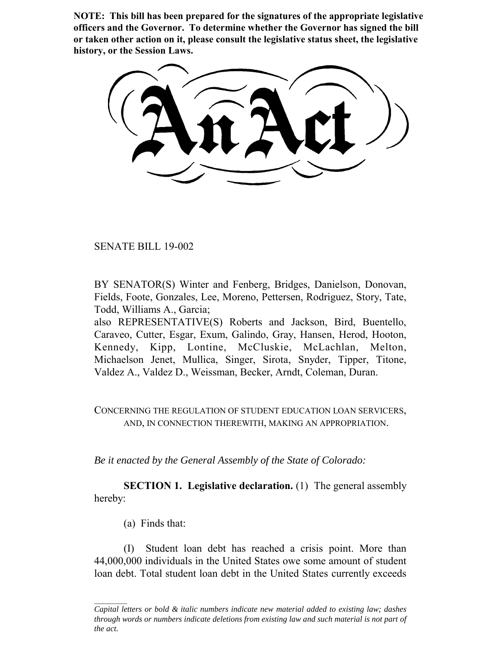**NOTE: This bill has been prepared for the signatures of the appropriate legislative officers and the Governor. To determine whether the Governor has signed the bill or taken other action on it, please consult the legislative status sheet, the legislative history, or the Session Laws.**

SENATE BILL 19-002

BY SENATOR(S) Winter and Fenberg, Bridges, Danielson, Donovan, Fields, Foote, Gonzales, Lee, Moreno, Pettersen, Rodriguez, Story, Tate, Todd, Williams A., Garcia;

also REPRESENTATIVE(S) Roberts and Jackson, Bird, Buentello, Caraveo, Cutter, Esgar, Exum, Galindo, Gray, Hansen, Herod, Hooton, Kennedy, Kipp, Lontine, McCluskie, McLachlan, Melton, Michaelson Jenet, Mullica, Singer, Sirota, Snyder, Tipper, Titone, Valdez A., Valdez D., Weissman, Becker, Arndt, Coleman, Duran.

CONCERNING THE REGULATION OF STUDENT EDUCATION LOAN SERVICERS, AND, IN CONNECTION THEREWITH, MAKING AN APPROPRIATION.

*Be it enacted by the General Assembly of the State of Colorado:*

**SECTION 1. Legislative declaration.** (1) The general assembly hereby:

(a) Finds that:

(I) Student loan debt has reached a crisis point. More than 44,000,000 individuals in the United States owe some amount of student loan debt. Total student loan debt in the United States currently exceeds

*Capital letters or bold & italic numbers indicate new material added to existing law; dashes through words or numbers indicate deletions from existing law and such material is not part of the act.*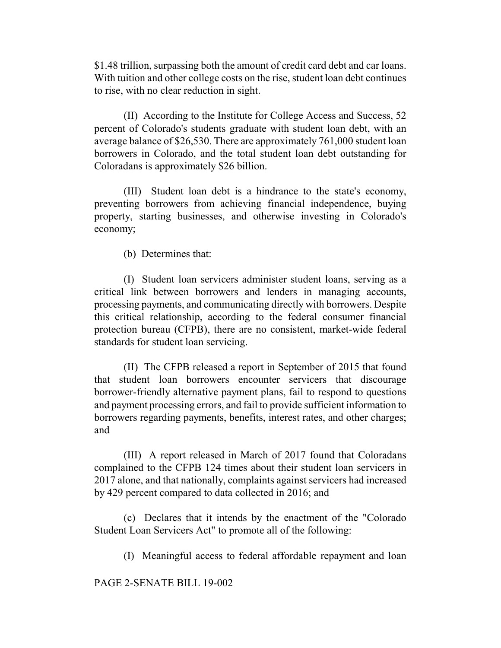\$1.48 trillion, surpassing both the amount of credit card debt and car loans. With tuition and other college costs on the rise, student loan debt continues to rise, with no clear reduction in sight.

(II) According to the Institute for College Access and Success, 52 percent of Colorado's students graduate with student loan debt, with an average balance of \$26,530. There are approximately 761,000 student loan borrowers in Colorado, and the total student loan debt outstanding for Coloradans is approximately \$26 billion.

(III) Student loan debt is a hindrance to the state's economy, preventing borrowers from achieving financial independence, buying property, starting businesses, and otherwise investing in Colorado's economy;

(b) Determines that:

(I) Student loan servicers administer student loans, serving as a critical link between borrowers and lenders in managing accounts, processing payments, and communicating directly with borrowers. Despite this critical relationship, according to the federal consumer financial protection bureau (CFPB), there are no consistent, market-wide federal standards for student loan servicing.

(II) The CFPB released a report in September of 2015 that found that student loan borrowers encounter servicers that discourage borrower-friendly alternative payment plans, fail to respond to questions and payment processing errors, and fail to provide sufficient information to borrowers regarding payments, benefits, interest rates, and other charges; and

(III) A report released in March of 2017 found that Coloradans complained to the CFPB 124 times about their student loan servicers in 2017 alone, and that nationally, complaints against servicers had increased by 429 percent compared to data collected in 2016; and

(c) Declares that it intends by the enactment of the "Colorado Student Loan Servicers Act" to promote all of the following:

(I) Meaningful access to federal affordable repayment and loan

PAGE 2-SENATE BILL 19-002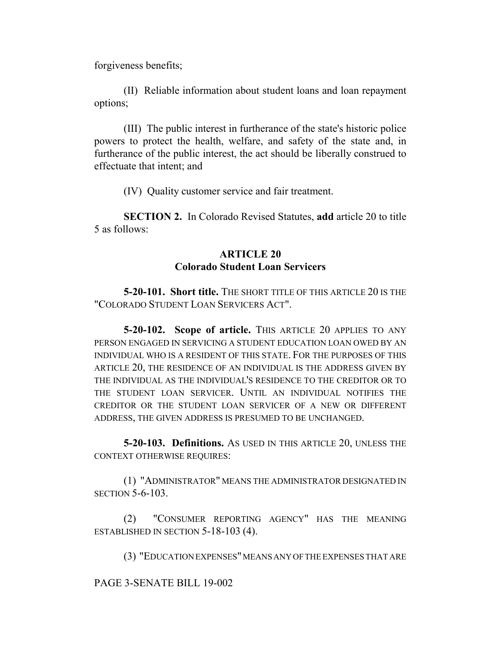forgiveness benefits;

(II) Reliable information about student loans and loan repayment options;

(III) The public interest in furtherance of the state's historic police powers to protect the health, welfare, and safety of the state and, in furtherance of the public interest, the act should be liberally construed to effectuate that intent; and

(IV) Quality customer service and fair treatment.

**SECTION 2.** In Colorado Revised Statutes, **add** article 20 to title 5 as follows:

# **ARTICLE 20 Colorado Student Loan Servicers**

**5-20-101. Short title.** THE SHORT TITLE OF THIS ARTICLE 20 IS THE "COLORADO STUDENT LOAN SERVICERS ACT".

**5-20-102. Scope of article.** THIS ARTICLE 20 APPLIES TO ANY PERSON ENGAGED IN SERVICING A STUDENT EDUCATION LOAN OWED BY AN INDIVIDUAL WHO IS A RESIDENT OF THIS STATE. FOR THE PURPOSES OF THIS ARTICLE 20, THE RESIDENCE OF AN INDIVIDUAL IS THE ADDRESS GIVEN BY THE INDIVIDUAL AS THE INDIVIDUAL'S RESIDENCE TO THE CREDITOR OR TO THE STUDENT LOAN SERVICER. UNTIL AN INDIVIDUAL NOTIFIES THE CREDITOR OR THE STUDENT LOAN SERVICER OF A NEW OR DIFFERENT ADDRESS, THE GIVEN ADDRESS IS PRESUMED TO BE UNCHANGED.

**5-20-103. Definitions.** AS USED IN THIS ARTICLE 20, UNLESS THE CONTEXT OTHERWISE REQUIRES:

(1) "ADMINISTRATOR" MEANS THE ADMINISTRATOR DESIGNATED IN SECTION 5-6-103.

(2) "CONSUMER REPORTING AGENCY" HAS THE MEANING ESTABLISHED IN SECTION 5-18-103 (4).

(3) "EDUCATION EXPENSES" MEANS ANY OF THE EXPENSES THAT ARE

PAGE 3-SENATE BILL 19-002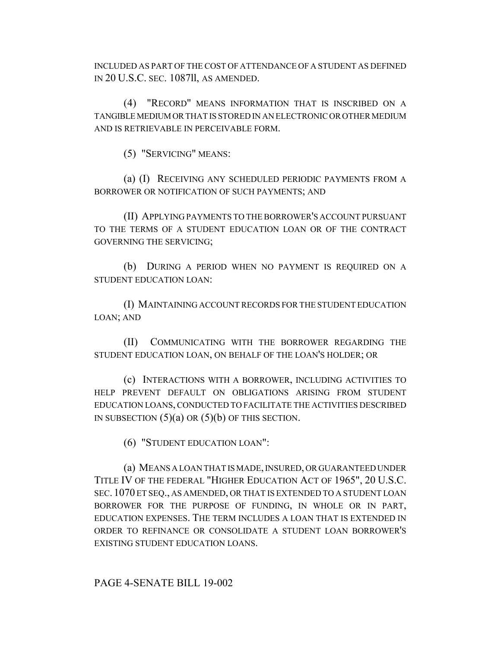INCLUDED AS PART OF THE COST OF ATTENDANCE OF A STUDENT AS DEFINED IN 20 U.S.C. SEC. 1087ll, AS AMENDED.

(4) "RECORD" MEANS INFORMATION THAT IS INSCRIBED ON A TANGIBLE MEDIUM OR THAT IS STORED IN AN ELECTRONIC OR OTHER MEDIUM AND IS RETRIEVABLE IN PERCEIVABLE FORM.

(5) "SERVICING" MEANS:

(a) (I) RECEIVING ANY SCHEDULED PERIODIC PAYMENTS FROM A BORROWER OR NOTIFICATION OF SUCH PAYMENTS; AND

(II) APPLYING PAYMENTS TO THE BORROWER'S ACCOUNT PURSUANT TO THE TERMS OF A STUDENT EDUCATION LOAN OR OF THE CONTRACT GOVERNING THE SERVICING;

(b) DURING A PERIOD WHEN NO PAYMENT IS REQUIRED ON A STUDENT EDUCATION LOAN:

(I) MAINTAINING ACCOUNT RECORDS FOR THE STUDENT EDUCATION LOAN; AND

(II) COMMUNICATING WITH THE BORROWER REGARDING THE STUDENT EDUCATION LOAN, ON BEHALF OF THE LOAN'S HOLDER; OR

(c) INTERACTIONS WITH A BORROWER, INCLUDING ACTIVITIES TO HELP PREVENT DEFAULT ON OBLIGATIONS ARISING FROM STUDENT EDUCATION LOANS, CONDUCTED TO FACILITATE THE ACTIVITIES DESCRIBED IN SUBSECTION  $(5)(a)$  OR  $(5)(b)$  OF THIS SECTION.

(6) "STUDENT EDUCATION LOAN":

(a) MEANS A LOAN THAT IS MADE, INSURED, OR GUARANTEED UNDER TITLE IV OF THE FEDERAL "HIGHER EDUCATION ACT OF 1965", 20 U.S.C. SEC. 1070 ET SEQ., AS AMENDED, OR THAT IS EXTENDED TO A STUDENT LOAN BORROWER FOR THE PURPOSE OF FUNDING, IN WHOLE OR IN PART, EDUCATION EXPENSES. THE TERM INCLUDES A LOAN THAT IS EXTENDED IN ORDER TO REFINANCE OR CONSOLIDATE A STUDENT LOAN BORROWER'S EXISTING STUDENT EDUCATION LOANS.

## PAGE 4-SENATE BILL 19-002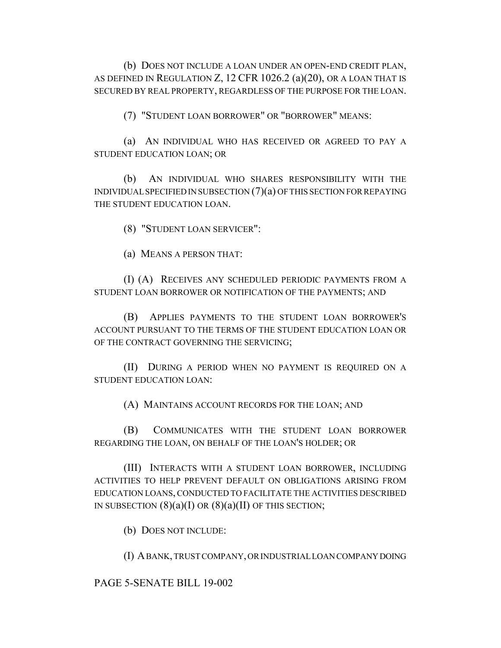(b) DOES NOT INCLUDE A LOAN UNDER AN OPEN-END CREDIT PLAN, AS DEFINED IN REGULATION Z, 12 CFR 1026.2 (a)(20), OR A LOAN THAT IS SECURED BY REAL PROPERTY, REGARDLESS OF THE PURPOSE FOR THE LOAN.

(7) "STUDENT LOAN BORROWER" OR "BORROWER" MEANS:

(a) AN INDIVIDUAL WHO HAS RECEIVED OR AGREED TO PAY A STUDENT EDUCATION LOAN; OR

(b) AN INDIVIDUAL WHO SHARES RESPONSIBILITY WITH THE INDIVIDUAL SPECIFIED IN SUBSECTION (7)(a) OF THIS SECTION FOR REPAYING THE STUDENT EDUCATION LOAN.

(8) "STUDENT LOAN SERVICER":

(a) MEANS A PERSON THAT:

(I) (A) RECEIVES ANY SCHEDULED PERIODIC PAYMENTS FROM A STUDENT LOAN BORROWER OR NOTIFICATION OF THE PAYMENTS; AND

(B) APPLIES PAYMENTS TO THE STUDENT LOAN BORROWER'S ACCOUNT PURSUANT TO THE TERMS OF THE STUDENT EDUCATION LOAN OR OF THE CONTRACT GOVERNING THE SERVICING;

(II) DURING A PERIOD WHEN NO PAYMENT IS REQUIRED ON A STUDENT EDUCATION LOAN:

(A) MAINTAINS ACCOUNT RECORDS FOR THE LOAN; AND

(B) COMMUNICATES WITH THE STUDENT LOAN BORROWER REGARDING THE LOAN, ON BEHALF OF THE LOAN'S HOLDER; OR

(III) INTERACTS WITH A STUDENT LOAN BORROWER, INCLUDING ACTIVITIES TO HELP PREVENT DEFAULT ON OBLIGATIONS ARISING FROM EDUCATION LOANS, CONDUCTED TO FACILITATE THE ACTIVITIES DESCRIBED IN SUBSECTION  $(8)(a)(I)$  OR  $(8)(a)(II)$  OF THIS SECTION;

(b) DOES NOT INCLUDE:

(I) A BANK, TRUST COMPANY, OR INDUSTRIAL LOAN COMPANY DOING

PAGE 5-SENATE BILL 19-002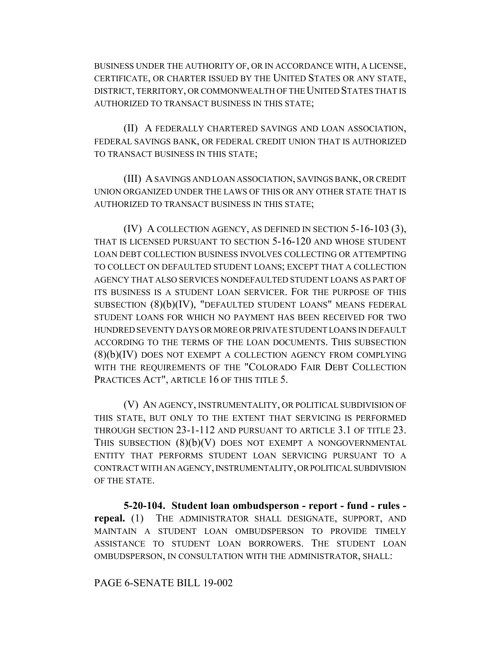BUSINESS UNDER THE AUTHORITY OF, OR IN ACCORDANCE WITH, A LICENSE, CERTIFICATE, OR CHARTER ISSUED BY THE UNITED STATES OR ANY STATE, DISTRICT, TERRITORY, OR COMMONWEALTH OF THE UNITED STATES THAT IS AUTHORIZED TO TRANSACT BUSINESS IN THIS STATE;

(II) A FEDERALLY CHARTERED SAVINGS AND LOAN ASSOCIATION, FEDERAL SAVINGS BANK, OR FEDERAL CREDIT UNION THAT IS AUTHORIZED TO TRANSACT BUSINESS IN THIS STATE;

(III) A SAVINGS AND LOAN ASSOCIATION, SAVINGS BANK, OR CREDIT UNION ORGANIZED UNDER THE LAWS OF THIS OR ANY OTHER STATE THAT IS AUTHORIZED TO TRANSACT BUSINESS IN THIS STATE;

(IV) A COLLECTION AGENCY, AS DEFINED IN SECTION 5-16-103 (3), THAT IS LICENSED PURSUANT TO SECTION 5-16-120 AND WHOSE STUDENT LOAN DEBT COLLECTION BUSINESS INVOLVES COLLECTING OR ATTEMPTING TO COLLECT ON DEFAULTED STUDENT LOANS; EXCEPT THAT A COLLECTION AGENCY THAT ALSO SERVICES NONDEFAULTED STUDENT LOANS AS PART OF ITS BUSINESS IS A STUDENT LOAN SERVICER. FOR THE PURPOSE OF THIS SUBSECTION (8)(b)(IV), "DEFAULTED STUDENT LOANS" MEANS FEDERAL STUDENT LOANS FOR WHICH NO PAYMENT HAS BEEN RECEIVED FOR TWO HUNDRED SEVENTY DAYS OR MORE OR PRIVATE STUDENT LOANS IN DEFAULT ACCORDING TO THE TERMS OF THE LOAN DOCUMENTS. THIS SUBSECTION (8)(b)(IV) DOES NOT EXEMPT A COLLECTION AGENCY FROM COMPLYING WITH THE REQUIREMENTS OF THE "COLORADO FAIR DEBT COLLECTION PRACTICES ACT", ARTICLE 16 OF THIS TITLE 5.

(V) AN AGENCY, INSTRUMENTALITY, OR POLITICAL SUBDIVISION OF THIS STATE, BUT ONLY TO THE EXTENT THAT SERVICING IS PERFORMED THROUGH SECTION 23-1-112 AND PURSUANT TO ARTICLE 3.1 OF TITLE 23. THIS SUBSECTION  $(8)(b)(V)$  DOES NOT EXEMPT A NONGOVERNMENTAL ENTITY THAT PERFORMS STUDENT LOAN SERVICING PURSUANT TO A CONTRACT WITH AN AGENCY, INSTRUMENTALITY, OR POLITICAL SUBDIVISION OF THE STATE.

**5-20-104. Student loan ombudsperson - report - fund - rules repeal.** (1) THE ADMINISTRATOR SHALL DESIGNATE, SUPPORT, AND MAINTAIN A STUDENT LOAN OMBUDSPERSON TO PROVIDE TIMELY ASSISTANCE TO STUDENT LOAN BORROWERS. THE STUDENT LOAN OMBUDSPERSON, IN CONSULTATION WITH THE ADMINISTRATOR, SHALL:

PAGE 6-SENATE BILL 19-002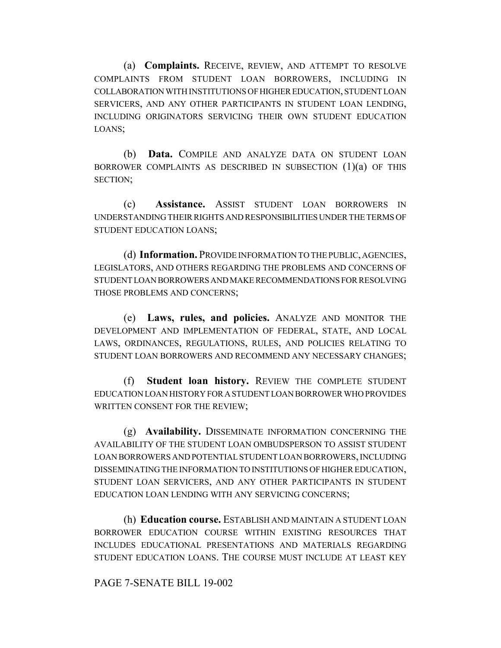(a) **Complaints.** RECEIVE, REVIEW, AND ATTEMPT TO RESOLVE COMPLAINTS FROM STUDENT LOAN BORROWERS, INCLUDING IN COLLABORATION WITH INSTITUTIONS OF HIGHER EDUCATION, STUDENT LOAN SERVICERS, AND ANY OTHER PARTICIPANTS IN STUDENT LOAN LENDING, INCLUDING ORIGINATORS SERVICING THEIR OWN STUDENT EDUCATION LOANS;

(b) **Data.** COMPILE AND ANALYZE DATA ON STUDENT LOAN BORROWER COMPLAINTS AS DESCRIBED IN SUBSECTION  $(1)(a)$  of this SECTION;

(c) **Assistance.** ASSIST STUDENT LOAN BORROWERS IN UNDERSTANDING THEIR RIGHTS AND RESPONSIBILITIES UNDER THE TERMS OF STUDENT EDUCATION LOANS;

(d) **Information.** PROVIDE INFORMATION TO THE PUBLIC, AGENCIES, LEGISLATORS, AND OTHERS REGARDING THE PROBLEMS AND CONCERNS OF STUDENT LOAN BORROWERS AND MAKE RECOMMENDATIONS FOR RESOLVING THOSE PROBLEMS AND CONCERNS;

(e) **Laws, rules, and policies.** ANALYZE AND MONITOR THE DEVELOPMENT AND IMPLEMENTATION OF FEDERAL, STATE, AND LOCAL LAWS, ORDINANCES, REGULATIONS, RULES, AND POLICIES RELATING TO STUDENT LOAN BORROWERS AND RECOMMEND ANY NECESSARY CHANGES;

(f) **Student loan history.** REVIEW THE COMPLETE STUDENT EDUCATION LOAN HISTORY FOR A STUDENT LOAN BORROWER WHO PROVIDES WRITTEN CONSENT FOR THE REVIEW;

(g) **Availability.** DISSEMINATE INFORMATION CONCERNING THE AVAILABILITY OF THE STUDENT LOAN OMBUDSPERSON TO ASSIST STUDENT LOAN BORROWERS AND POTENTIAL STUDENT LOAN BORROWERS, INCLUDING DISSEMINATING THE INFORMATION TO INSTITUTIONS OF HIGHER EDUCATION, STUDENT LOAN SERVICERS, AND ANY OTHER PARTICIPANTS IN STUDENT EDUCATION LOAN LENDING WITH ANY SERVICING CONCERNS;

(h) **Education course.** ESTABLISH AND MAINTAIN A STUDENT LOAN BORROWER EDUCATION COURSE WITHIN EXISTING RESOURCES THAT INCLUDES EDUCATIONAL PRESENTATIONS AND MATERIALS REGARDING STUDENT EDUCATION LOANS. THE COURSE MUST INCLUDE AT LEAST KEY

#### PAGE 7-SENATE BILL 19-002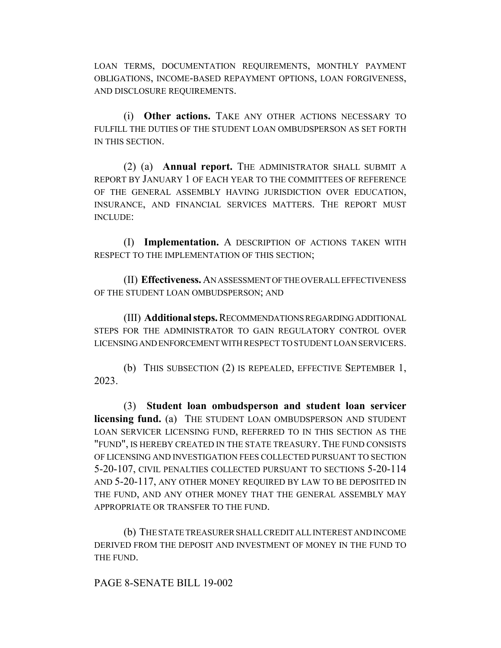LOAN TERMS, DOCUMENTATION REQUIREMENTS, MONTHLY PAYMENT OBLIGATIONS, INCOME-BASED REPAYMENT OPTIONS, LOAN FORGIVENESS, AND DISCLOSURE REQUIREMENTS.

(i) **Other actions.** TAKE ANY OTHER ACTIONS NECESSARY TO FULFILL THE DUTIES OF THE STUDENT LOAN OMBUDSPERSON AS SET FORTH IN THIS SECTION.

(2) (a) **Annual report.** THE ADMINISTRATOR SHALL SUBMIT A REPORT BY JANUARY 1 OF EACH YEAR TO THE COMMITTEES OF REFERENCE OF THE GENERAL ASSEMBLY HAVING JURISDICTION OVER EDUCATION, INSURANCE, AND FINANCIAL SERVICES MATTERS. THE REPORT MUST INCLUDE:

(I) **Implementation.** A DESCRIPTION OF ACTIONS TAKEN WITH RESPECT TO THE IMPLEMENTATION OF THIS SECTION;

(II) **Effectiveness.** AN ASSESSMENT OF THE OVERALL EFFECTIVENESS OF THE STUDENT LOAN OMBUDSPERSON; AND

(III) **Additional steps.** RECOMMENDATIONS REGARDING ADDITIONAL STEPS FOR THE ADMINISTRATOR TO GAIN REGULATORY CONTROL OVER LICENSING AND ENFORCEMENT WITH RESPECT TO STUDENT LOAN SERVICERS.

(b) THIS SUBSECTION (2) IS REPEALED, EFFECTIVE SEPTEMBER 1, 2023.

(3) **Student loan ombudsperson and student loan servicer licensing fund.** (a) THE STUDENT LOAN OMBUDSPERSON AND STUDENT LOAN SERVICER LICENSING FUND, REFERRED TO IN THIS SECTION AS THE "FUND", IS HEREBY CREATED IN THE STATE TREASURY. THE FUND CONSISTS OF LICENSING AND INVESTIGATION FEES COLLECTED PURSUANT TO SECTION 5-20-107, CIVIL PENALTIES COLLECTED PURSUANT TO SECTIONS 5-20-114 AND 5-20-117, ANY OTHER MONEY REQUIRED BY LAW TO BE DEPOSITED IN THE FUND, AND ANY OTHER MONEY THAT THE GENERAL ASSEMBLY MAY APPROPRIATE OR TRANSFER TO THE FUND.

(b) THE STATE TREASURER SHALL CREDIT ALL INTEREST AND INCOME DERIVED FROM THE DEPOSIT AND INVESTMENT OF MONEY IN THE FUND TO THE FUND.

PAGE 8-SENATE BILL 19-002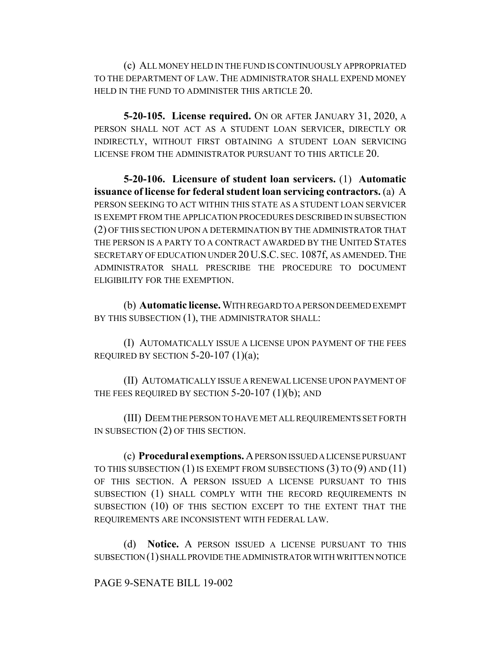(c) ALL MONEY HELD IN THE FUND IS CONTINUOUSLY APPROPRIATED TO THE DEPARTMENT OF LAW. THE ADMINISTRATOR SHALL EXPEND MONEY HELD IN THE FUND TO ADMINISTER THIS ARTICLE 20.

**5-20-105. License required.** ON OR AFTER JANUARY 31, 2020, A PERSON SHALL NOT ACT AS A STUDENT LOAN SERVICER, DIRECTLY OR INDIRECTLY, WITHOUT FIRST OBTAINING A STUDENT LOAN SERVICING LICENSE FROM THE ADMINISTRATOR PURSUANT TO THIS ARTICLE 20.

**5-20-106. Licensure of student loan servicers.** (1) **Automatic issuance of license for federal student loan servicing contractors.** (a) A PERSON SEEKING TO ACT WITHIN THIS STATE AS A STUDENT LOAN SERVICER IS EXEMPT FROM THE APPLICATION PROCEDURES DESCRIBED IN SUBSECTION (2) OF THIS SECTION UPON A DETERMINATION BY THE ADMINISTRATOR THAT THE PERSON IS A PARTY TO A CONTRACT AWARDED BY THE UNITED STATES SECRETARY OF EDUCATION UNDER 20 U.S.C. SEC. 1087f, AS AMENDED. THE ADMINISTRATOR SHALL PRESCRIBE THE PROCEDURE TO DOCUMENT ELIGIBILITY FOR THE EXEMPTION.

(b) **Automatic license.** WITH REGARD TO A PERSON DEEMED EXEMPT BY THIS SUBSECTION (1), THE ADMINISTRATOR SHALL:

(I) AUTOMATICALLY ISSUE A LICENSE UPON PAYMENT OF THE FEES REQUIRED BY SECTION  $5-20-107$  (1)(a);

(II) AUTOMATICALLY ISSUE A RENEWAL LICENSE UPON PAYMENT OF THE FEES REQUIRED BY SECTION  $5-20-107$  (1)(b); AND

(III) DEEM THE PERSON TO HAVE MET ALL REQUIREMENTS SET FORTH IN SUBSECTION (2) OF THIS SECTION.

(c) **Procedural exemptions.** A PERSON ISSUED A LICENSE PURSUANT TO THIS SUBSECTION (1) IS EXEMPT FROM SUBSECTIONS (3) TO (9) AND (11) OF THIS SECTION. A PERSON ISSUED A LICENSE PURSUANT TO THIS SUBSECTION (1) SHALL COMPLY WITH THE RECORD REQUIREMENTS IN SUBSECTION (10) OF THIS SECTION EXCEPT TO THE EXTENT THAT THE REQUIREMENTS ARE INCONSISTENT WITH FEDERAL LAW.

(d) **Notice.** A PERSON ISSUED A LICENSE PURSUANT TO THIS SUBSECTION (1) SHALL PROVIDE THE ADMINISTRATOR WITH WRITTEN NOTICE

## PAGE 9-SENATE BILL 19-002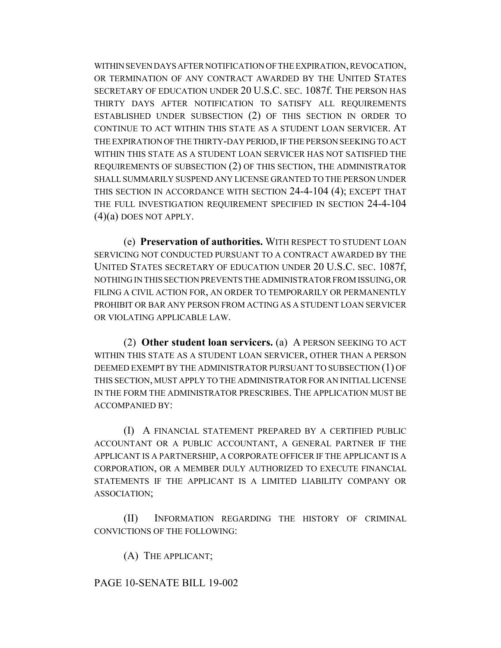WITHIN SEVEN DAYS AFTER NOTIFICATION OF THE EXPIRATION, REVOCATION, OR TERMINATION OF ANY CONTRACT AWARDED BY THE UNITED STATES SECRETARY OF EDUCATION UNDER 20 U.S.C. SEC. 1087f. THE PERSON HAS THIRTY DAYS AFTER NOTIFICATION TO SATISFY ALL REQUIREMENTS ESTABLISHED UNDER SUBSECTION (2) OF THIS SECTION IN ORDER TO CONTINUE TO ACT WITHIN THIS STATE AS A STUDENT LOAN SERVICER. AT THE EXPIRATION OF THE THIRTY-DAY PERIOD, IF THE PERSON SEEKING TO ACT WITHIN THIS STATE AS A STUDENT LOAN SERVICER HAS NOT SATISFIED THE REQUIREMENTS OF SUBSECTION (2) OF THIS SECTION, THE ADMINISTRATOR SHALL SUMMARILY SUSPEND ANY LICENSE GRANTED TO THE PERSON UNDER THIS SECTION IN ACCORDANCE WITH SECTION 24-4-104 (4); EXCEPT THAT THE FULL INVESTIGATION REQUIREMENT SPECIFIED IN SECTION 24-4-104  $(4)(a)$  DOES NOT APPLY.

(e) **Preservation of authorities.** WITH RESPECT TO STUDENT LOAN SERVICING NOT CONDUCTED PURSUANT TO A CONTRACT AWARDED BY THE UNITED STATES SECRETARY OF EDUCATION UNDER 20 U.S.C. SEC. 1087f, NOTHING IN THIS SECTION PREVENTS THE ADMINISTRATOR FROM ISSUING, OR FILING A CIVIL ACTION FOR, AN ORDER TO TEMPORARILY OR PERMANENTLY PROHIBIT OR BAR ANY PERSON FROM ACTING AS A STUDENT LOAN SERVICER OR VIOLATING APPLICABLE LAW.

(2) **Other student loan servicers.** (a) A PERSON SEEKING TO ACT WITHIN THIS STATE AS A STUDENT LOAN SERVICER, OTHER THAN A PERSON DEEMED EXEMPT BY THE ADMINISTRATOR PURSUANT TO SUBSECTION (1) OF THIS SECTION, MUST APPLY TO THE ADMINISTRATOR FOR AN INITIAL LICENSE IN THE FORM THE ADMINISTRATOR PRESCRIBES. THE APPLICATION MUST BE ACCOMPANIED BY:

(I) A FINANCIAL STATEMENT PREPARED BY A CERTIFIED PUBLIC ACCOUNTANT OR A PUBLIC ACCOUNTANT, A GENERAL PARTNER IF THE APPLICANT IS A PARTNERSHIP, A CORPORATE OFFICER IF THE APPLICANT IS A CORPORATION, OR A MEMBER DULY AUTHORIZED TO EXECUTE FINANCIAL STATEMENTS IF THE APPLICANT IS A LIMITED LIABILITY COMPANY OR ASSOCIATION;

(II) INFORMATION REGARDING THE HISTORY OF CRIMINAL CONVICTIONS OF THE FOLLOWING:

(A) THE APPLICANT;

## PAGE 10-SENATE BILL 19-002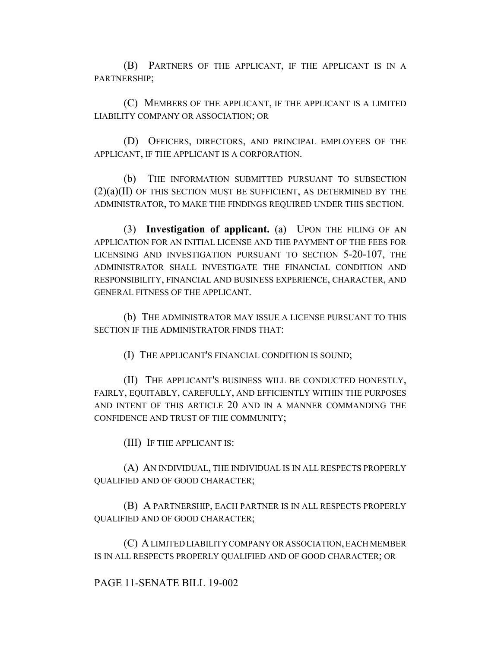(B) PARTNERS OF THE APPLICANT, IF THE APPLICANT IS IN A PARTNERSHIP;

(C) MEMBERS OF THE APPLICANT, IF THE APPLICANT IS A LIMITED LIABILITY COMPANY OR ASSOCIATION; OR

(D) OFFICERS, DIRECTORS, AND PRINCIPAL EMPLOYEES OF THE APPLICANT, IF THE APPLICANT IS A CORPORATION.

(b) THE INFORMATION SUBMITTED PURSUANT TO SUBSECTION  $(2)(a)(II)$  OF THIS SECTION MUST BE SUFFICIENT, AS DETERMINED BY THE ADMINISTRATOR, TO MAKE THE FINDINGS REQUIRED UNDER THIS SECTION.

(3) **Investigation of applicant.** (a) UPON THE FILING OF AN APPLICATION FOR AN INITIAL LICENSE AND THE PAYMENT OF THE FEES FOR LICENSING AND INVESTIGATION PURSUANT TO SECTION 5-20-107, THE ADMINISTRATOR SHALL INVESTIGATE THE FINANCIAL CONDITION AND RESPONSIBILITY, FINANCIAL AND BUSINESS EXPERIENCE, CHARACTER, AND GENERAL FITNESS OF THE APPLICANT.

(b) THE ADMINISTRATOR MAY ISSUE A LICENSE PURSUANT TO THIS SECTION IF THE ADMINISTRATOR FINDS THAT:

(I) THE APPLICANT'S FINANCIAL CONDITION IS SOUND;

(II) THE APPLICANT'S BUSINESS WILL BE CONDUCTED HONESTLY, FAIRLY, EQUITABLY, CAREFULLY, AND EFFICIENTLY WITHIN THE PURPOSES AND INTENT OF THIS ARTICLE 20 AND IN A MANNER COMMANDING THE CONFIDENCE AND TRUST OF THE COMMUNITY;

(III) IF THE APPLICANT IS:

(A) AN INDIVIDUAL, THE INDIVIDUAL IS IN ALL RESPECTS PROPERLY QUALIFIED AND OF GOOD CHARACTER;

(B) A PARTNERSHIP, EACH PARTNER IS IN ALL RESPECTS PROPERLY QUALIFIED AND OF GOOD CHARACTER;

(C) A LIMITED LIABILITY COMPANY OR ASSOCIATION, EACH MEMBER IS IN ALL RESPECTS PROPERLY QUALIFIED AND OF GOOD CHARACTER; OR

## PAGE 11-SENATE BILL 19-002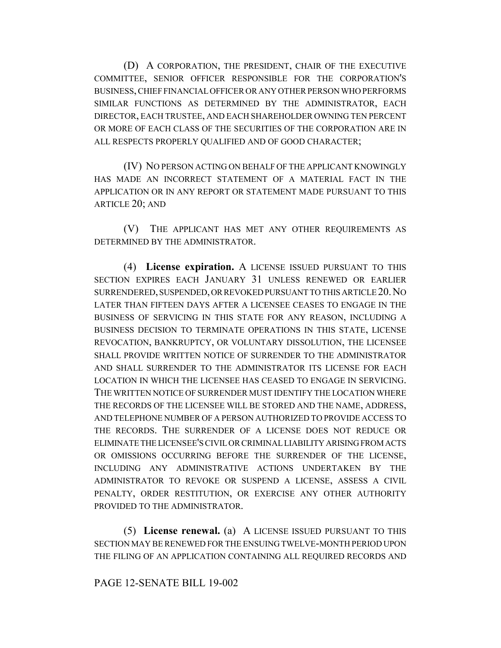(D) A CORPORATION, THE PRESIDENT, CHAIR OF THE EXECUTIVE COMMITTEE, SENIOR OFFICER RESPONSIBLE FOR THE CORPORATION'S BUSINESS, CHIEF FINANCIAL OFFICER OR ANY OTHER PERSON WHO PERFORMS SIMILAR FUNCTIONS AS DETERMINED BY THE ADMINISTRATOR, EACH DIRECTOR, EACH TRUSTEE, AND EACH SHAREHOLDER OWNING TEN PERCENT OR MORE OF EACH CLASS OF THE SECURITIES OF THE CORPORATION ARE IN ALL RESPECTS PROPERLY QUALIFIED AND OF GOOD CHARACTER;

(IV) NO PERSON ACTING ON BEHALF OF THE APPLICANT KNOWINGLY HAS MADE AN INCORRECT STATEMENT OF A MATERIAL FACT IN THE APPLICATION OR IN ANY REPORT OR STATEMENT MADE PURSUANT TO THIS ARTICLE 20; AND

(V) THE APPLICANT HAS MET ANY OTHER REQUIREMENTS AS DETERMINED BY THE ADMINISTRATOR.

(4) **License expiration.** A LICENSE ISSUED PURSUANT TO THIS SECTION EXPIRES EACH JANUARY 31 UNLESS RENEWED OR EARLIER SURRENDERED, SUSPENDED, OR REVOKED PURSUANT TO THIS ARTICLE 20.NO LATER THAN FIFTEEN DAYS AFTER A LICENSEE CEASES TO ENGAGE IN THE BUSINESS OF SERVICING IN THIS STATE FOR ANY REASON, INCLUDING A BUSINESS DECISION TO TERMINATE OPERATIONS IN THIS STATE, LICENSE REVOCATION, BANKRUPTCY, OR VOLUNTARY DISSOLUTION, THE LICENSEE SHALL PROVIDE WRITTEN NOTICE OF SURRENDER TO THE ADMINISTRATOR AND SHALL SURRENDER TO THE ADMINISTRATOR ITS LICENSE FOR EACH LOCATION IN WHICH THE LICENSEE HAS CEASED TO ENGAGE IN SERVICING. THE WRITTEN NOTICE OF SURRENDER MUST IDENTIFY THE LOCATION WHERE THE RECORDS OF THE LICENSEE WILL BE STORED AND THE NAME, ADDRESS, AND TELEPHONE NUMBER OF A PERSON AUTHORIZED TO PROVIDE ACCESS TO THE RECORDS. THE SURRENDER OF A LICENSE DOES NOT REDUCE OR ELIMINATE THE LICENSEE'S CIVIL OR CRIMINAL LIABILITY ARISING FROM ACTS OR OMISSIONS OCCURRING BEFORE THE SURRENDER OF THE LICENSE, INCLUDING ANY ADMINISTRATIVE ACTIONS UNDERTAKEN BY THE ADMINISTRATOR TO REVOKE OR SUSPEND A LICENSE, ASSESS A CIVIL PENALTY, ORDER RESTITUTION, OR EXERCISE ANY OTHER AUTHORITY PROVIDED TO THE ADMINISTRATOR.

(5) **License renewal.** (a) A LICENSE ISSUED PURSUANT TO THIS SECTION MAY BE RENEWED FOR THE ENSUING TWELVE-MONTH PERIOD UPON THE FILING OF AN APPLICATION CONTAINING ALL REQUIRED RECORDS AND

#### PAGE 12-SENATE BILL 19-002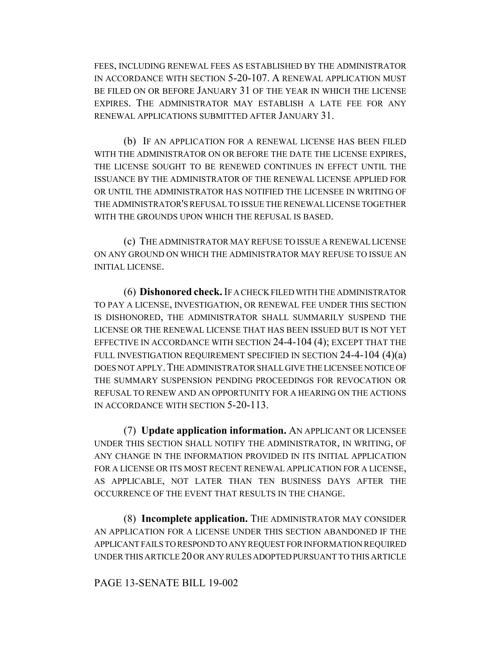FEES, INCLUDING RENEWAL FEES AS ESTABLISHED BY THE ADMINISTRATOR IN ACCORDANCE WITH SECTION 5-20-107. A RENEWAL APPLICATION MUST BE FILED ON OR BEFORE JANUARY 31 OF THE YEAR IN WHICH THE LICENSE EXPIRES. THE ADMINISTRATOR MAY ESTABLISH A LATE FEE FOR ANY RENEWAL APPLICATIONS SUBMITTED AFTER JANUARY 31.

(b) IF AN APPLICATION FOR A RENEWAL LICENSE HAS BEEN FILED WITH THE ADMINISTRATOR ON OR BEFORE THE DATE THE LICENSE EXPIRES, THE LICENSE SOUGHT TO BE RENEWED CONTINUES IN EFFECT UNTIL THE ISSUANCE BY THE ADMINISTRATOR OF THE RENEWAL LICENSE APPLIED FOR OR UNTIL THE ADMINISTRATOR HAS NOTIFIED THE LICENSEE IN WRITING OF THE ADMINISTRATOR'S REFUSAL TO ISSUE THE RENEWAL LICENSE TOGETHER WITH THE GROUNDS UPON WHICH THE REFUSAL IS BASED.

(c) THE ADMINISTRATOR MAY REFUSE TO ISSUE A RENEWAL LICENSE ON ANY GROUND ON WHICH THE ADMINISTRATOR MAY REFUSE TO ISSUE AN INITIAL LICENSE.

(6) **Dishonored check.** IF A CHECK FILED WITH THE ADMINISTRATOR TO PAY A LICENSE, INVESTIGATION, OR RENEWAL FEE UNDER THIS SECTION IS DISHONORED, THE ADMINISTRATOR SHALL SUMMARILY SUSPEND THE LICENSE OR THE RENEWAL LICENSE THAT HAS BEEN ISSUED BUT IS NOT YET EFFECTIVE IN ACCORDANCE WITH SECTION 24-4-104 (4); EXCEPT THAT THE FULL INVESTIGATION REQUIREMENT SPECIFIED IN SECTION 24-4-104 (4)(a) DOES NOT APPLY.THE ADMINISTRATOR SHALL GIVE THE LICENSEE NOTICE OF THE SUMMARY SUSPENSION PENDING PROCEEDINGS FOR REVOCATION OR REFUSAL TO RENEW AND AN OPPORTUNITY FOR A HEARING ON THE ACTIONS IN ACCORDANCE WITH SECTION 5-20-113.

(7) **Update application information.** AN APPLICANT OR LICENSEE UNDER THIS SECTION SHALL NOTIFY THE ADMINISTRATOR, IN WRITING, OF ANY CHANGE IN THE INFORMATION PROVIDED IN ITS INITIAL APPLICATION FOR A LICENSE OR ITS MOST RECENT RENEWAL APPLICATION FOR A LICENSE, AS APPLICABLE, NOT LATER THAN TEN BUSINESS DAYS AFTER THE OCCURRENCE OF THE EVENT THAT RESULTS IN THE CHANGE.

(8) **Incomplete application.** THE ADMINISTRATOR MAY CONSIDER AN APPLICATION FOR A LICENSE UNDER THIS SECTION ABANDONED IF THE APPLICANT FAILS TO RESPOND TO ANY REQUEST FOR INFORMATION REQUIRED UNDER THIS ARTICLE 20 OR ANY RULES ADOPTED PURSUANT TO THIS ARTICLE

## PAGE 13-SENATE BILL 19-002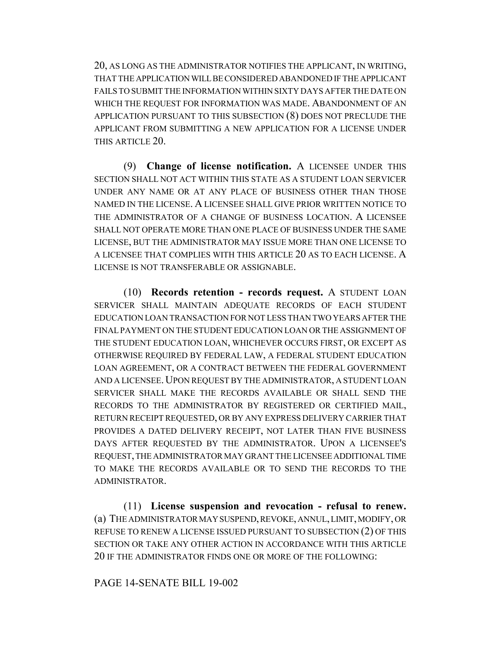20, AS LONG AS THE ADMINISTRATOR NOTIFIES THE APPLICANT, IN WRITING, THAT THE APPLICATION WILL BE CONSIDERED ABANDONED IF THE APPLICANT FAILS TO SUBMIT THE INFORMATION WITHIN SIXTY DAYS AFTER THE DATE ON WHICH THE REQUEST FOR INFORMATION WAS MADE. ABANDONMENT OF AN APPLICATION PURSUANT TO THIS SUBSECTION (8) DOES NOT PRECLUDE THE APPLICANT FROM SUBMITTING A NEW APPLICATION FOR A LICENSE UNDER THIS ARTICLE 20.

(9) **Change of license notification.** A LICENSEE UNDER THIS SECTION SHALL NOT ACT WITHIN THIS STATE AS A STUDENT LOAN SERVICER UNDER ANY NAME OR AT ANY PLACE OF BUSINESS OTHER THAN THOSE NAMED IN THE LICENSE. A LICENSEE SHALL GIVE PRIOR WRITTEN NOTICE TO THE ADMINISTRATOR OF A CHANGE OF BUSINESS LOCATION. A LICENSEE SHALL NOT OPERATE MORE THAN ONE PLACE OF BUSINESS UNDER THE SAME LICENSE, BUT THE ADMINISTRATOR MAY ISSUE MORE THAN ONE LICENSE TO A LICENSEE THAT COMPLIES WITH THIS ARTICLE 20 AS TO EACH LICENSE. A LICENSE IS NOT TRANSFERABLE OR ASSIGNABLE.

(10) **Records retention - records request.** A STUDENT LOAN SERVICER SHALL MAINTAIN ADEQUATE RECORDS OF EACH STUDENT EDUCATION LOAN TRANSACTION FOR NOT LESS THAN TWO YEARS AFTER THE FINAL PAYMENT ON THE STUDENT EDUCATION LOAN OR THE ASSIGNMENT OF THE STUDENT EDUCATION LOAN, WHICHEVER OCCURS FIRST, OR EXCEPT AS OTHERWISE REQUIRED BY FEDERAL LAW, A FEDERAL STUDENT EDUCATION LOAN AGREEMENT, OR A CONTRACT BETWEEN THE FEDERAL GOVERNMENT AND A LICENSEE.UPON REQUEST BY THE ADMINISTRATOR, A STUDENT LOAN SERVICER SHALL MAKE THE RECORDS AVAILABLE OR SHALL SEND THE RECORDS TO THE ADMINISTRATOR BY REGISTERED OR CERTIFIED MAIL, RETURN RECEIPT REQUESTED, OR BY ANY EXPRESS DELIVERY CARRIER THAT PROVIDES A DATED DELIVERY RECEIPT, NOT LATER THAN FIVE BUSINESS DAYS AFTER REQUESTED BY THE ADMINISTRATOR. UPON A LICENSEE'S REQUEST, THE ADMINISTRATOR MAY GRANT THE LICENSEE ADDITIONAL TIME TO MAKE THE RECORDS AVAILABLE OR TO SEND THE RECORDS TO THE ADMINISTRATOR.

(11) **License suspension and revocation - refusal to renew.** (a) THE ADMINISTRATOR MAY SUSPEND, REVOKE, ANNUL, LIMIT, MODIFY, OR REFUSE TO RENEW A LICENSE ISSUED PURSUANT TO SUBSECTION (2) OF THIS SECTION OR TAKE ANY OTHER ACTION IN ACCORDANCE WITH THIS ARTICLE 20 IF THE ADMINISTRATOR FINDS ONE OR MORE OF THE FOLLOWING:

#### PAGE 14-SENATE BILL 19-002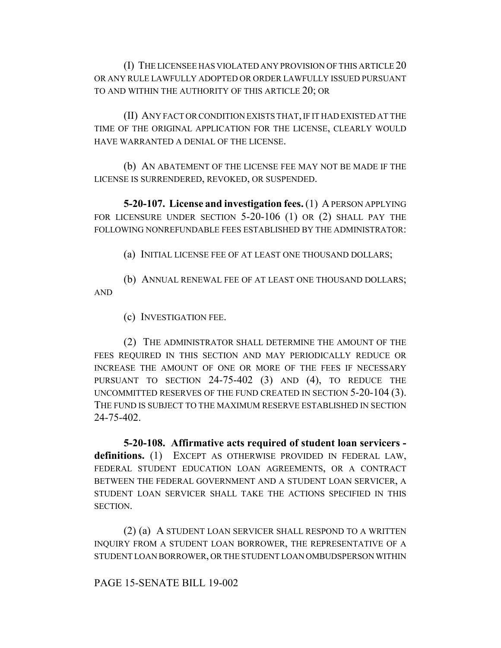(I) THE LICENSEE HAS VIOLATED ANY PROVISION OF THIS ARTICLE 20 OR ANY RULE LAWFULLY ADOPTED OR ORDER LAWFULLY ISSUED PURSUANT TO AND WITHIN THE AUTHORITY OF THIS ARTICLE 20; OR

(II) ANY FACT OR CONDITION EXISTS THAT, IF IT HAD EXISTED AT THE TIME OF THE ORIGINAL APPLICATION FOR THE LICENSE, CLEARLY WOULD HAVE WARRANTED A DENIAL OF THE LICENSE.

(b) AN ABATEMENT OF THE LICENSE FEE MAY NOT BE MADE IF THE LICENSE IS SURRENDERED, REVOKED, OR SUSPENDED.

**5-20-107. License and investigation fees.** (1) A PERSON APPLYING FOR LICENSURE UNDER SECTION 5-20-106 (1) OR (2) SHALL PAY THE FOLLOWING NONREFUNDABLE FEES ESTABLISHED BY THE ADMINISTRATOR:

(a) INITIAL LICENSE FEE OF AT LEAST ONE THOUSAND DOLLARS;

(b) ANNUAL RENEWAL FEE OF AT LEAST ONE THOUSAND DOLLARS; AND

(c) INVESTIGATION FEE.

(2) THE ADMINISTRATOR SHALL DETERMINE THE AMOUNT OF THE FEES REQUIRED IN THIS SECTION AND MAY PERIODICALLY REDUCE OR INCREASE THE AMOUNT OF ONE OR MORE OF THE FEES IF NECESSARY PURSUANT TO SECTION 24-75-402 (3) AND (4), TO REDUCE THE UNCOMMITTED RESERVES OF THE FUND CREATED IN SECTION 5-20-104 (3). THE FUND IS SUBJECT TO THE MAXIMUM RESERVE ESTABLISHED IN SECTION 24-75-402.

**5-20-108. Affirmative acts required of student loan servicers definitions.** (1) EXCEPT AS OTHERWISE PROVIDED IN FEDERAL LAW, FEDERAL STUDENT EDUCATION LOAN AGREEMENTS, OR A CONTRACT BETWEEN THE FEDERAL GOVERNMENT AND A STUDENT LOAN SERVICER, A STUDENT LOAN SERVICER SHALL TAKE THE ACTIONS SPECIFIED IN THIS SECTION.

(2) (a) A STUDENT LOAN SERVICER SHALL RESPOND TO A WRITTEN INQUIRY FROM A STUDENT LOAN BORROWER, THE REPRESENTATIVE OF A STUDENT LOAN BORROWER, OR THE STUDENT LOAN OMBUDSPERSON WITHIN

PAGE 15-SENATE BILL 19-002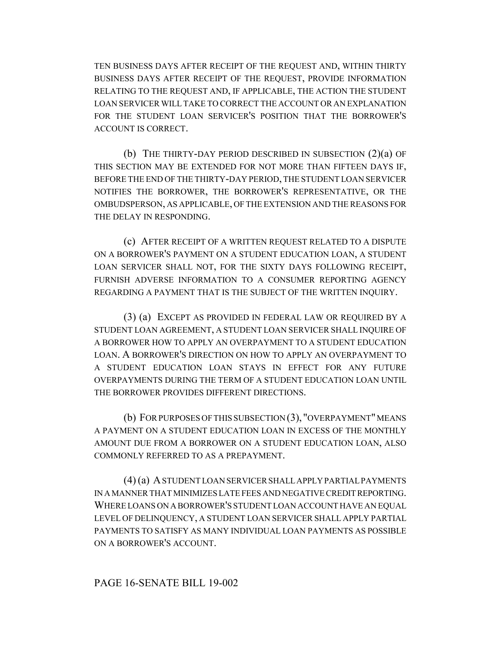TEN BUSINESS DAYS AFTER RECEIPT OF THE REQUEST AND, WITHIN THIRTY BUSINESS DAYS AFTER RECEIPT OF THE REQUEST, PROVIDE INFORMATION RELATING TO THE REQUEST AND, IF APPLICABLE, THE ACTION THE STUDENT LOAN SERVICER WILL TAKE TO CORRECT THE ACCOUNT OR AN EXPLANATION FOR THE STUDENT LOAN SERVICER'S POSITION THAT THE BORROWER'S ACCOUNT IS CORRECT.

(b) THE THIRTY-DAY PERIOD DESCRIBED IN SUBSECTION (2)(a) OF THIS SECTION MAY BE EXTENDED FOR NOT MORE THAN FIFTEEN DAYS IF, BEFORE THE END OF THE THIRTY-DAY PERIOD, THE STUDENT LOAN SERVICER NOTIFIES THE BORROWER, THE BORROWER'S REPRESENTATIVE, OR THE OMBUDSPERSON, AS APPLICABLE, OF THE EXTENSION AND THE REASONS FOR THE DELAY IN RESPONDING.

(c) AFTER RECEIPT OF A WRITTEN REQUEST RELATED TO A DISPUTE ON A BORROWER'S PAYMENT ON A STUDENT EDUCATION LOAN, A STUDENT LOAN SERVICER SHALL NOT, FOR THE SIXTY DAYS FOLLOWING RECEIPT, FURNISH ADVERSE INFORMATION TO A CONSUMER REPORTING AGENCY REGARDING A PAYMENT THAT IS THE SUBJECT OF THE WRITTEN INQUIRY.

(3) (a) EXCEPT AS PROVIDED IN FEDERAL LAW OR REQUIRED BY A STUDENT LOAN AGREEMENT, A STUDENT LOAN SERVICER SHALL INQUIRE OF A BORROWER HOW TO APPLY AN OVERPAYMENT TO A STUDENT EDUCATION LOAN. A BORROWER'S DIRECTION ON HOW TO APPLY AN OVERPAYMENT TO A STUDENT EDUCATION LOAN STAYS IN EFFECT FOR ANY FUTURE OVERPAYMENTS DURING THE TERM OF A STUDENT EDUCATION LOAN UNTIL THE BORROWER PROVIDES DIFFERENT DIRECTIONS.

(b) FOR PURPOSES OF THIS SUBSECTION (3), "OVERPAYMENT" MEANS A PAYMENT ON A STUDENT EDUCATION LOAN IN EXCESS OF THE MONTHLY AMOUNT DUE FROM A BORROWER ON A STUDENT EDUCATION LOAN, ALSO COMMONLY REFERRED TO AS A PREPAYMENT.

(4) (a) A STUDENT LOAN SERVICER SHALL APPLY PARTIAL PAYMENTS IN A MANNER THAT MINIMIZES LATE FEES AND NEGATIVE CREDIT REPORTING. WHERE LOANS ON A BORROWER'S STUDENT LOAN ACCOUNT HAVE AN EQUAL LEVEL OF DELINQUENCY, A STUDENT LOAN SERVICER SHALL APPLY PARTIAL PAYMENTS TO SATISFY AS MANY INDIVIDUAL LOAN PAYMENTS AS POSSIBLE ON A BORROWER'S ACCOUNT.

## PAGE 16-SENATE BILL 19-002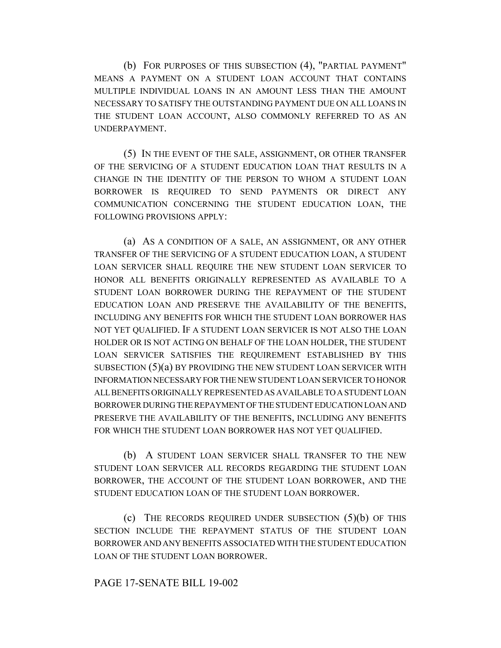(b) FOR PURPOSES OF THIS SUBSECTION (4), "PARTIAL PAYMENT" MEANS A PAYMENT ON A STUDENT LOAN ACCOUNT THAT CONTAINS MULTIPLE INDIVIDUAL LOANS IN AN AMOUNT LESS THAN THE AMOUNT NECESSARY TO SATISFY THE OUTSTANDING PAYMENT DUE ON ALL LOANS IN THE STUDENT LOAN ACCOUNT, ALSO COMMONLY REFERRED TO AS AN UNDERPAYMENT.

(5) IN THE EVENT OF THE SALE, ASSIGNMENT, OR OTHER TRANSFER OF THE SERVICING OF A STUDENT EDUCATION LOAN THAT RESULTS IN A CHANGE IN THE IDENTITY OF THE PERSON TO WHOM A STUDENT LOAN BORROWER IS REQUIRED TO SEND PAYMENTS OR DIRECT ANY COMMUNICATION CONCERNING THE STUDENT EDUCATION LOAN, THE FOLLOWING PROVISIONS APPLY:

(a) AS A CONDITION OF A SALE, AN ASSIGNMENT, OR ANY OTHER TRANSFER OF THE SERVICING OF A STUDENT EDUCATION LOAN, A STUDENT LOAN SERVICER SHALL REQUIRE THE NEW STUDENT LOAN SERVICER TO HONOR ALL BENEFITS ORIGINALLY REPRESENTED AS AVAILABLE TO A STUDENT LOAN BORROWER DURING THE REPAYMENT OF THE STUDENT EDUCATION LOAN AND PRESERVE THE AVAILABILITY OF THE BENEFITS, INCLUDING ANY BENEFITS FOR WHICH THE STUDENT LOAN BORROWER HAS NOT YET QUALIFIED. IF A STUDENT LOAN SERVICER IS NOT ALSO THE LOAN HOLDER OR IS NOT ACTING ON BEHALF OF THE LOAN HOLDER, THE STUDENT LOAN SERVICER SATISFIES THE REQUIREMENT ESTABLISHED BY THIS SUBSECTION (5)(a) BY PROVIDING THE NEW STUDENT LOAN SERVICER WITH INFORMATION NECESSARY FOR THE NEW STUDENT LOAN SERVICER TO HONOR ALL BENEFITS ORIGINALLY REPRESENTED AS AVAILABLE TO A STUDENT LOAN BORROWER DURING THE REPAYMENT OF THE STUDENT EDUCATION LOAN AND PRESERVE THE AVAILABILITY OF THE BENEFITS, INCLUDING ANY BENEFITS FOR WHICH THE STUDENT LOAN BORROWER HAS NOT YET QUALIFIED.

(b) A STUDENT LOAN SERVICER SHALL TRANSFER TO THE NEW STUDENT LOAN SERVICER ALL RECORDS REGARDING THE STUDENT LOAN BORROWER, THE ACCOUNT OF THE STUDENT LOAN BORROWER, AND THE STUDENT EDUCATION LOAN OF THE STUDENT LOAN BORROWER.

(c) THE RECORDS REQUIRED UNDER SUBSECTION  $(5)(b)$  OF THIS SECTION INCLUDE THE REPAYMENT STATUS OF THE STUDENT LOAN BORROWER AND ANY BENEFITS ASSOCIATED WITH THE STUDENT EDUCATION LOAN OF THE STUDENT LOAN BORROWER.

## PAGE 17-SENATE BILL 19-002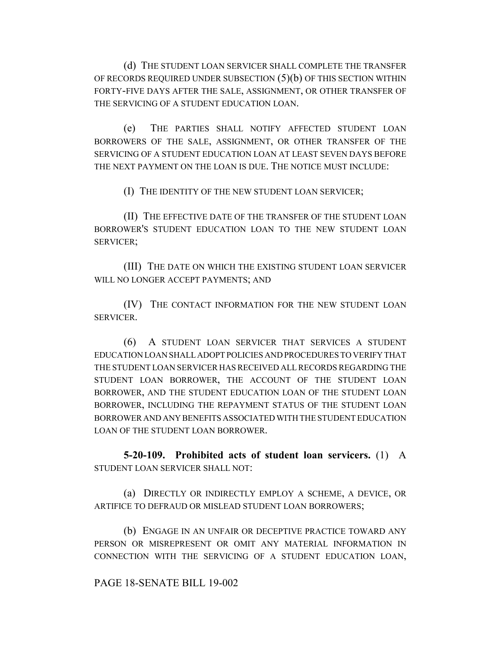(d) THE STUDENT LOAN SERVICER SHALL COMPLETE THE TRANSFER OF RECORDS REQUIRED UNDER SUBSECTION  $(5)(b)$  OF THIS SECTION WITHIN FORTY-FIVE DAYS AFTER THE SALE, ASSIGNMENT, OR OTHER TRANSFER OF THE SERVICING OF A STUDENT EDUCATION LOAN.

(e) THE PARTIES SHALL NOTIFY AFFECTED STUDENT LOAN BORROWERS OF THE SALE, ASSIGNMENT, OR OTHER TRANSFER OF THE SERVICING OF A STUDENT EDUCATION LOAN AT LEAST SEVEN DAYS BEFORE THE NEXT PAYMENT ON THE LOAN IS DUE. THE NOTICE MUST INCLUDE:

(I) THE IDENTITY OF THE NEW STUDENT LOAN SERVICER;

(II) THE EFFECTIVE DATE OF THE TRANSFER OF THE STUDENT LOAN BORROWER'S STUDENT EDUCATION LOAN TO THE NEW STUDENT LOAN SERVICER;

(III) THE DATE ON WHICH THE EXISTING STUDENT LOAN SERVICER WILL NO LONGER ACCEPT PAYMENTS; AND

(IV) THE CONTACT INFORMATION FOR THE NEW STUDENT LOAN SERVICER.

(6) A STUDENT LOAN SERVICER THAT SERVICES A STUDENT EDUCATION LOAN SHALL ADOPT POLICIES AND PROCEDURES TO VERIFY THAT THE STUDENT LOAN SERVICER HAS RECEIVED ALL RECORDS REGARDING THE STUDENT LOAN BORROWER, THE ACCOUNT OF THE STUDENT LOAN BORROWER, AND THE STUDENT EDUCATION LOAN OF THE STUDENT LOAN BORROWER, INCLUDING THE REPAYMENT STATUS OF THE STUDENT LOAN BORROWER AND ANY BENEFITS ASSOCIATED WITH THE STUDENT EDUCATION LOAN OF THE STUDENT LOAN BORROWER.

**5-20-109. Prohibited acts of student loan servicers.** (1) A STUDENT LOAN SERVICER SHALL NOT:

(a) DIRECTLY OR INDIRECTLY EMPLOY A SCHEME, A DEVICE, OR ARTIFICE TO DEFRAUD OR MISLEAD STUDENT LOAN BORROWERS;

(b) ENGAGE IN AN UNFAIR OR DECEPTIVE PRACTICE TOWARD ANY PERSON OR MISREPRESENT OR OMIT ANY MATERIAL INFORMATION IN CONNECTION WITH THE SERVICING OF A STUDENT EDUCATION LOAN,

## PAGE 18-SENATE BILL 19-002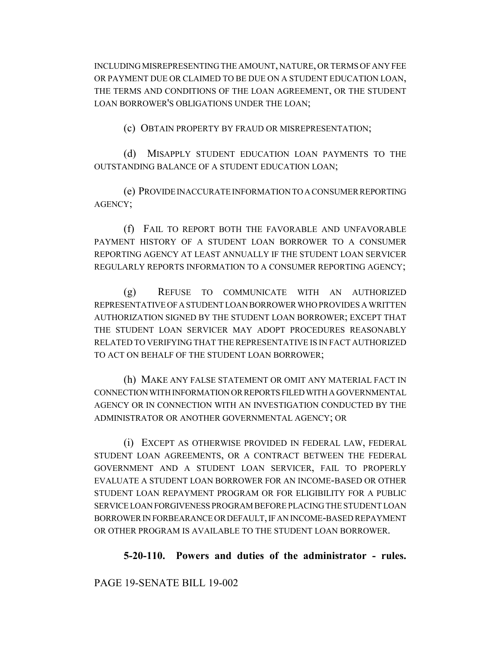INCLUDING MISREPRESENTING THE AMOUNT, NATURE, OR TERMS OF ANY FEE OR PAYMENT DUE OR CLAIMED TO BE DUE ON A STUDENT EDUCATION LOAN, THE TERMS AND CONDITIONS OF THE LOAN AGREEMENT, OR THE STUDENT LOAN BORROWER'S OBLIGATIONS UNDER THE LOAN;

(c) OBTAIN PROPERTY BY FRAUD OR MISREPRESENTATION;

(d) MISAPPLY STUDENT EDUCATION LOAN PAYMENTS TO THE OUTSTANDING BALANCE OF A STUDENT EDUCATION LOAN;

(e) PROVIDE INACCURATE INFORMATION TO A CONSUMER REPORTING AGENCY;

(f) FAIL TO REPORT BOTH THE FAVORABLE AND UNFAVORABLE PAYMENT HISTORY OF A STUDENT LOAN BORROWER TO A CONSUMER REPORTING AGENCY AT LEAST ANNUALLY IF THE STUDENT LOAN SERVICER REGULARLY REPORTS INFORMATION TO A CONSUMER REPORTING AGENCY;

(g) REFUSE TO COMMUNICATE WITH AN AUTHORIZED REPRESENTATIVE OF A STUDENT LOAN BORROWER WHO PROVIDES A WRITTEN AUTHORIZATION SIGNED BY THE STUDENT LOAN BORROWER; EXCEPT THAT THE STUDENT LOAN SERVICER MAY ADOPT PROCEDURES REASONABLY RELATED TO VERIFYING THAT THE REPRESENTATIVE IS IN FACT AUTHORIZED TO ACT ON BEHALF OF THE STUDENT LOAN BORROWER;

(h) MAKE ANY FALSE STATEMENT OR OMIT ANY MATERIAL FACT IN CONNECTION WITH INFORMATION OR REPORTS FILED WITH A GOVERNMENTAL AGENCY OR IN CONNECTION WITH AN INVESTIGATION CONDUCTED BY THE ADMINISTRATOR OR ANOTHER GOVERNMENTAL AGENCY; OR

(i) EXCEPT AS OTHERWISE PROVIDED IN FEDERAL LAW, FEDERAL STUDENT LOAN AGREEMENTS, OR A CONTRACT BETWEEN THE FEDERAL GOVERNMENT AND A STUDENT LOAN SERVICER, FAIL TO PROPERLY EVALUATE A STUDENT LOAN BORROWER FOR AN INCOME-BASED OR OTHER STUDENT LOAN REPAYMENT PROGRAM OR FOR ELIGIBILITY FOR A PUBLIC SERVICE LOAN FORGIVENESS PROGRAM BEFORE PLACING THE STUDENT LOAN BORROWER IN FORBEARANCE OR DEFAULT, IF AN INCOME-BASED REPAYMENT OR OTHER PROGRAM IS AVAILABLE TO THE STUDENT LOAN BORROWER.

## **5-20-110. Powers and duties of the administrator - rules.**

PAGE 19-SENATE BILL 19-002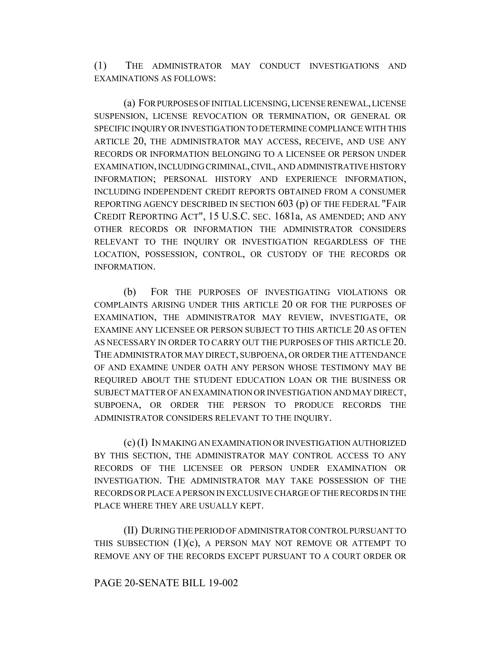(1) THE ADMINISTRATOR MAY CONDUCT INVESTIGATIONS AND EXAMINATIONS AS FOLLOWS:

(a) FOR PURPOSES OF INITIAL LICENSING, LICENSE RENEWAL, LICENSE SUSPENSION, LICENSE REVOCATION OR TERMINATION, OR GENERAL OR SPECIFIC INQUIRY OR INVESTIGATION TO DETERMINE COMPLIANCE WITH THIS ARTICLE 20, THE ADMINISTRATOR MAY ACCESS, RECEIVE, AND USE ANY RECORDS OR INFORMATION BELONGING TO A LICENSEE OR PERSON UNDER EXAMINATION, INCLUDING CRIMINAL, CIVIL, AND ADMINISTRATIVE HISTORY INFORMATION; PERSONAL HISTORY AND EXPERIENCE INFORMATION, INCLUDING INDEPENDENT CREDIT REPORTS OBTAINED FROM A CONSUMER REPORTING AGENCY DESCRIBED IN SECTION 603 (p) OF THE FEDERAL "FAIR CREDIT REPORTING ACT", 15 U.S.C. SEC. 1681a, AS AMENDED; AND ANY OTHER RECORDS OR INFORMATION THE ADMINISTRATOR CONSIDERS RELEVANT TO THE INQUIRY OR INVESTIGATION REGARDLESS OF THE LOCATION, POSSESSION, CONTROL, OR CUSTODY OF THE RECORDS OR INFORMATION.

(b) FOR THE PURPOSES OF INVESTIGATING VIOLATIONS OR COMPLAINTS ARISING UNDER THIS ARTICLE 20 OR FOR THE PURPOSES OF EXAMINATION, THE ADMINISTRATOR MAY REVIEW, INVESTIGATE, OR EXAMINE ANY LICENSEE OR PERSON SUBJECT TO THIS ARTICLE 20 AS OFTEN AS NECESSARY IN ORDER TO CARRY OUT THE PURPOSES OF THIS ARTICLE 20. THE ADMINISTRATOR MAY DIRECT, SUBPOENA, OR ORDER THE ATTENDANCE OF AND EXAMINE UNDER OATH ANY PERSON WHOSE TESTIMONY MAY BE REQUIRED ABOUT THE STUDENT EDUCATION LOAN OR THE BUSINESS OR SUBJECT MATTER OF AN EXAMINATION OR INVESTIGATION AND MAY DIRECT, SUBPOENA, OR ORDER THE PERSON TO PRODUCE RECORDS THE ADMINISTRATOR CONSIDERS RELEVANT TO THE INQUIRY.

(c) (I) IN MAKING AN EXAMINATION OR INVESTIGATION AUTHORIZED BY THIS SECTION, THE ADMINISTRATOR MAY CONTROL ACCESS TO ANY RECORDS OF THE LICENSEE OR PERSON UNDER EXAMINATION OR INVESTIGATION. THE ADMINISTRATOR MAY TAKE POSSESSION OF THE RECORDS OR PLACE A PERSON IN EXCLUSIVE CHARGE OF THE RECORDS IN THE PLACE WHERE THEY ARE USUALLY KEPT.

(II) DURING THE PERIOD OF ADMINISTRATOR CONTROL PURSUANT TO THIS SUBSECTION (1)(c), A PERSON MAY NOT REMOVE OR ATTEMPT TO REMOVE ANY OF THE RECORDS EXCEPT PURSUANT TO A COURT ORDER OR

#### PAGE 20-SENATE BILL 19-002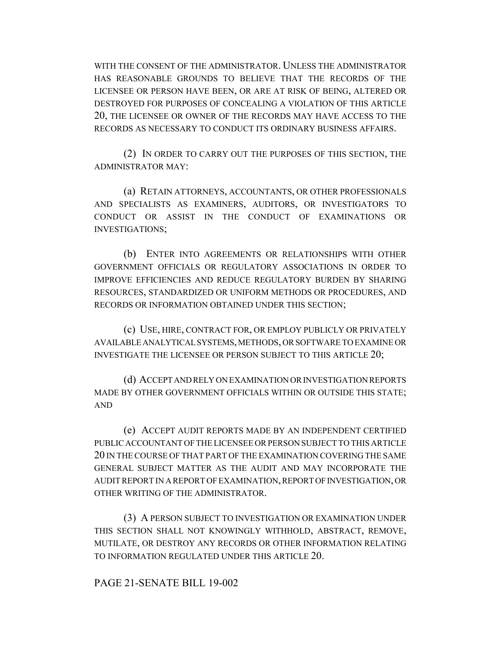WITH THE CONSENT OF THE ADMINISTRATOR. UNLESS THE ADMINISTRATOR HAS REASONABLE GROUNDS TO BELIEVE THAT THE RECORDS OF THE LICENSEE OR PERSON HAVE BEEN, OR ARE AT RISK OF BEING, ALTERED OR DESTROYED FOR PURPOSES OF CONCEALING A VIOLATION OF THIS ARTICLE 20, THE LICENSEE OR OWNER OF THE RECORDS MAY HAVE ACCESS TO THE RECORDS AS NECESSARY TO CONDUCT ITS ORDINARY BUSINESS AFFAIRS.

(2) IN ORDER TO CARRY OUT THE PURPOSES OF THIS SECTION, THE ADMINISTRATOR MAY:

(a) RETAIN ATTORNEYS, ACCOUNTANTS, OR OTHER PROFESSIONALS AND SPECIALISTS AS EXAMINERS, AUDITORS, OR INVESTIGATORS TO CONDUCT OR ASSIST IN THE CONDUCT OF EXAMINATIONS OR INVESTIGATIONS;

(b) ENTER INTO AGREEMENTS OR RELATIONSHIPS WITH OTHER GOVERNMENT OFFICIALS OR REGULATORY ASSOCIATIONS IN ORDER TO IMPROVE EFFICIENCIES AND REDUCE REGULATORY BURDEN BY SHARING RESOURCES, STANDARDIZED OR UNIFORM METHODS OR PROCEDURES, AND RECORDS OR INFORMATION OBTAINED UNDER THIS SECTION;

(c) USE, HIRE, CONTRACT FOR, OR EMPLOY PUBLICLY OR PRIVATELY AVAILABLE ANALYTICAL SYSTEMS, METHODS, OR SOFTWARE TO EXAMINE OR INVESTIGATE THE LICENSEE OR PERSON SUBJECT TO THIS ARTICLE 20;

(d) ACCEPT AND RELY ON EXAMINATION OR INVESTIGATION REPORTS MADE BY OTHER GOVERNMENT OFFICIALS WITHIN OR OUTSIDE THIS STATE; AND

(e) ACCEPT AUDIT REPORTS MADE BY AN INDEPENDENT CERTIFIED PUBLIC ACCOUNTANT OF THE LICENSEE OR PERSON SUBJECT TO THIS ARTICLE 20 IN THE COURSE OF THAT PART OF THE EXAMINATION COVERING THE SAME GENERAL SUBJECT MATTER AS THE AUDIT AND MAY INCORPORATE THE AUDIT REPORT IN A REPORT OF EXAMINATION, REPORT OF INVESTIGATION, OR OTHER WRITING OF THE ADMINISTRATOR.

(3) A PERSON SUBJECT TO INVESTIGATION OR EXAMINATION UNDER THIS SECTION SHALL NOT KNOWINGLY WITHHOLD, ABSTRACT, REMOVE, MUTILATE, OR DESTROY ANY RECORDS OR OTHER INFORMATION RELATING TO INFORMATION REGULATED UNDER THIS ARTICLE 20.

## PAGE 21-SENATE BILL 19-002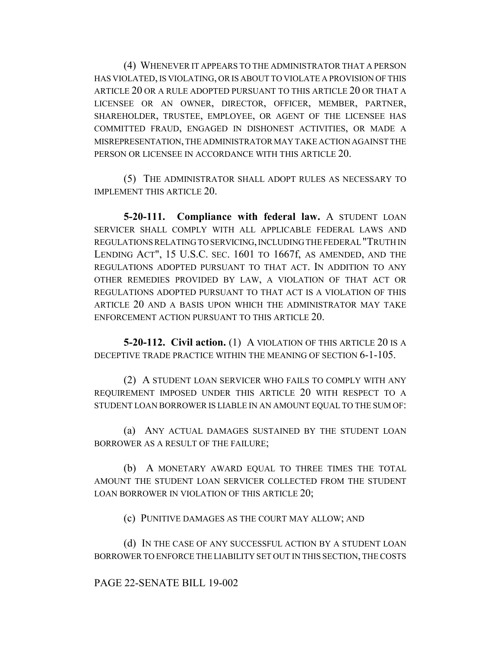(4) WHENEVER IT APPEARS TO THE ADMINISTRATOR THAT A PERSON HAS VIOLATED, IS VIOLATING, OR IS ABOUT TO VIOLATE A PROVISION OF THIS ARTICLE 20 OR A RULE ADOPTED PURSUANT TO THIS ARTICLE 20 OR THAT A LICENSEE OR AN OWNER, DIRECTOR, OFFICER, MEMBER, PARTNER, SHAREHOLDER, TRUSTEE, EMPLOYEE, OR AGENT OF THE LICENSEE HAS COMMITTED FRAUD, ENGAGED IN DISHONEST ACTIVITIES, OR MADE A MISREPRESENTATION, THE ADMINISTRATOR MAY TAKE ACTION AGAINST THE PERSON OR LICENSEE IN ACCORDANCE WITH THIS ARTICLE 20.

(5) THE ADMINISTRATOR SHALL ADOPT RULES AS NECESSARY TO IMPLEMENT THIS ARTICLE 20.

**5-20-111. Compliance with federal law.** A STUDENT LOAN SERVICER SHALL COMPLY WITH ALL APPLICABLE FEDERAL LAWS AND REGULATIONS RELATING TO SERVICING, INCLUDING THE FEDERAL "TRUTH IN LENDING ACT", 15 U.S.C. SEC. 1601 TO 1667f, AS AMENDED, AND THE REGULATIONS ADOPTED PURSUANT TO THAT ACT. IN ADDITION TO ANY OTHER REMEDIES PROVIDED BY LAW, A VIOLATION OF THAT ACT OR REGULATIONS ADOPTED PURSUANT TO THAT ACT IS A VIOLATION OF THIS ARTICLE 20 AND A BASIS UPON WHICH THE ADMINISTRATOR MAY TAKE ENFORCEMENT ACTION PURSUANT TO THIS ARTICLE 20.

**5-20-112. Civil action.** (1) A VIOLATION OF THIS ARTICLE 20 IS A DECEPTIVE TRADE PRACTICE WITHIN THE MEANING OF SECTION 6-1-105.

(2) A STUDENT LOAN SERVICER WHO FAILS TO COMPLY WITH ANY REQUIREMENT IMPOSED UNDER THIS ARTICLE 20 WITH RESPECT TO A STUDENT LOAN BORROWER IS LIABLE IN AN AMOUNT EQUAL TO THE SUM OF:

(a) ANY ACTUAL DAMAGES SUSTAINED BY THE STUDENT LOAN BORROWER AS A RESULT OF THE FAILURE;

(b) A MONETARY AWARD EQUAL TO THREE TIMES THE TOTAL AMOUNT THE STUDENT LOAN SERVICER COLLECTED FROM THE STUDENT LOAN BORROWER IN VIOLATION OF THIS ARTICLE 20;

(c) PUNITIVE DAMAGES AS THE COURT MAY ALLOW; AND

(d) IN THE CASE OF ANY SUCCESSFUL ACTION BY A STUDENT LOAN BORROWER TO ENFORCE THE LIABILITY SET OUT IN THIS SECTION, THE COSTS

#### PAGE 22-SENATE BILL 19-002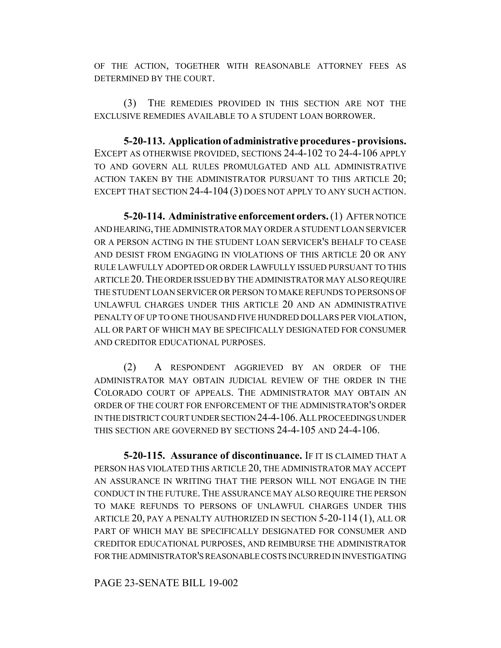OF THE ACTION, TOGETHER WITH REASONABLE ATTORNEY FEES AS DETERMINED BY THE COURT.

(3) THE REMEDIES PROVIDED IN THIS SECTION ARE NOT THE EXCLUSIVE REMEDIES AVAILABLE TO A STUDENT LOAN BORROWER.

**5-20-113. Application of administrative procedures - provisions.** EXCEPT AS OTHERWISE PROVIDED, SECTIONS 24-4-102 TO 24-4-106 APPLY TO AND GOVERN ALL RULES PROMULGATED AND ALL ADMINISTRATIVE ACTION TAKEN BY THE ADMINISTRATOR PURSUANT TO THIS ARTICLE 20; EXCEPT THAT SECTION 24-4-104 (3) DOES NOT APPLY TO ANY SUCH ACTION.

**5-20-114. Administrative enforcement orders.** (1) AFTER NOTICE AND HEARING, THE ADMINISTRATOR MAY ORDER A STUDENT LOAN SERVICER OR A PERSON ACTING IN THE STUDENT LOAN SERVICER'S BEHALF TO CEASE AND DESIST FROM ENGAGING IN VIOLATIONS OF THIS ARTICLE 20 OR ANY RULE LAWFULLY ADOPTED OR ORDER LAWFULLY ISSUED PURSUANT TO THIS ARTICLE 20.THE ORDER ISSUED BY THE ADMINISTRATOR MAY ALSO REQUIRE THE STUDENT LOAN SERVICER OR PERSON TO MAKE REFUNDS TO PERSONS OF UNLAWFUL CHARGES UNDER THIS ARTICLE 20 AND AN ADMINISTRATIVE PENALTY OF UP TO ONE THOUSAND FIVE HUNDRED DOLLARS PER VIOLATION, ALL OR PART OF WHICH MAY BE SPECIFICALLY DESIGNATED FOR CONSUMER AND CREDITOR EDUCATIONAL PURPOSES.

(2) A RESPONDENT AGGRIEVED BY AN ORDER OF THE ADMINISTRATOR MAY OBTAIN JUDICIAL REVIEW OF THE ORDER IN THE COLORADO COURT OF APPEALS. THE ADMINISTRATOR MAY OBTAIN AN ORDER OF THE COURT FOR ENFORCEMENT OF THE ADMINISTRATOR'S ORDER IN THE DISTRICT COURT UNDER SECTION 24-4-106.ALL PROCEEDINGS UNDER THIS SECTION ARE GOVERNED BY SECTIONS 24-4-105 AND 24-4-106.

**5-20-115. Assurance of discontinuance.** IF IT IS CLAIMED THAT A PERSON HAS VIOLATED THIS ARTICLE 20, THE ADMINISTRATOR MAY ACCEPT AN ASSURANCE IN WRITING THAT THE PERSON WILL NOT ENGAGE IN THE CONDUCT IN THE FUTURE.THE ASSURANCE MAY ALSO REQUIRE THE PERSON TO MAKE REFUNDS TO PERSONS OF UNLAWFUL CHARGES UNDER THIS ARTICLE 20, PAY A PENALTY AUTHORIZED IN SECTION 5-20-114 (1), ALL OR PART OF WHICH MAY BE SPECIFICALLY DESIGNATED FOR CONSUMER AND CREDITOR EDUCATIONAL PURPOSES, AND REIMBURSE THE ADMINISTRATOR FOR THE ADMINISTRATOR'S REASONABLE COSTS INCURRED IN INVESTIGATING

PAGE 23-SENATE BILL 19-002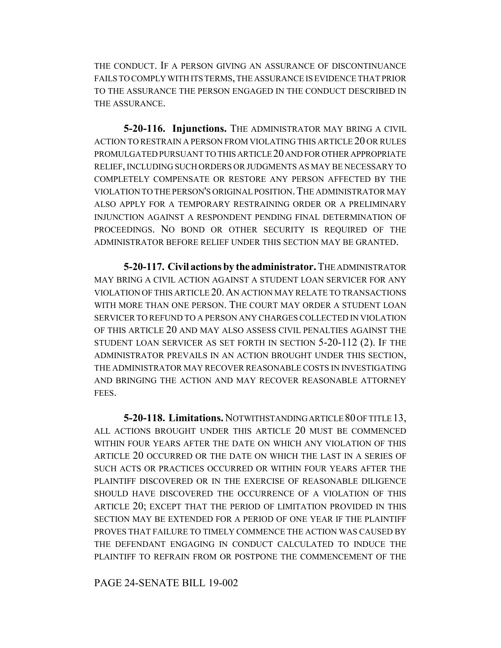THE CONDUCT. IF A PERSON GIVING AN ASSURANCE OF DISCONTINUANCE FAILS TO COMPLY WITH ITS TERMS, THE ASSURANCE IS EVIDENCE THAT PRIOR TO THE ASSURANCE THE PERSON ENGAGED IN THE CONDUCT DESCRIBED IN THE ASSURANCE.

**5-20-116. Injunctions.** THE ADMINISTRATOR MAY BRING A CIVIL ACTION TO RESTRAIN A PERSON FROM VIOLATING THIS ARTICLE 20 OR RULES PROMULGATED PURSUANT TO THIS ARTICLE 20 AND FOR OTHER APPROPRIATE RELIEF, INCLUDING SUCH ORDERS OR JUDGMENTS AS MAY BE NECESSARY TO COMPLETELY COMPENSATE OR RESTORE ANY PERSON AFFECTED BY THE VIOLATION TO THE PERSON'S ORIGINAL POSITION.THE ADMINISTRATOR MAY ALSO APPLY FOR A TEMPORARY RESTRAINING ORDER OR A PRELIMINARY INJUNCTION AGAINST A RESPONDENT PENDING FINAL DETERMINATION OF PROCEEDINGS. NO BOND OR OTHER SECURITY IS REQUIRED OF THE ADMINISTRATOR BEFORE RELIEF UNDER THIS SECTION MAY BE GRANTED.

**5-20-117. Civil actions by the administrator.** THE ADMINISTRATOR MAY BRING A CIVIL ACTION AGAINST A STUDENT LOAN SERVICER FOR ANY VIOLATION OF THIS ARTICLE 20.AN ACTION MAY RELATE TO TRANSACTIONS WITH MORE THAN ONE PERSON. THE COURT MAY ORDER A STUDENT LOAN SERVICER TO REFUND TO A PERSON ANY CHARGES COLLECTED IN VIOLATION OF THIS ARTICLE 20 AND MAY ALSO ASSESS CIVIL PENALTIES AGAINST THE STUDENT LOAN SERVICER AS SET FORTH IN SECTION 5-20-112 (2). IF THE ADMINISTRATOR PREVAILS IN AN ACTION BROUGHT UNDER THIS SECTION, THE ADMINISTRATOR MAY RECOVER REASONABLE COSTS IN INVESTIGATING AND BRINGING THE ACTION AND MAY RECOVER REASONABLE ATTORNEY FEES.

**5-20-118. Limitations.** NOTWITHSTANDING ARTICLE 80 OF TITLE 13, ALL ACTIONS BROUGHT UNDER THIS ARTICLE 20 MUST BE COMMENCED WITHIN FOUR YEARS AFTER THE DATE ON WHICH ANY VIOLATION OF THIS ARTICLE 20 OCCURRED OR THE DATE ON WHICH THE LAST IN A SERIES OF SUCH ACTS OR PRACTICES OCCURRED OR WITHIN FOUR YEARS AFTER THE PLAINTIFF DISCOVERED OR IN THE EXERCISE OF REASONABLE DILIGENCE SHOULD HAVE DISCOVERED THE OCCURRENCE OF A VIOLATION OF THIS ARTICLE 20; EXCEPT THAT THE PERIOD OF LIMITATION PROVIDED IN THIS SECTION MAY BE EXTENDED FOR A PERIOD OF ONE YEAR IF THE PLAINTIFF PROVES THAT FAILURE TO TIMELY COMMENCE THE ACTION WAS CAUSED BY THE DEFENDANT ENGAGING IN CONDUCT CALCULATED TO INDUCE THE PLAINTIFF TO REFRAIN FROM OR POSTPONE THE COMMENCEMENT OF THE

PAGE 24-SENATE BILL 19-002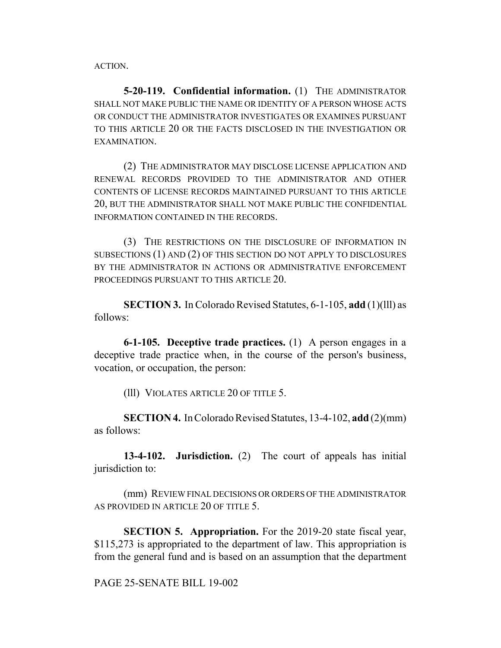ACTION.

**5-20-119. Confidential information.** (1) THE ADMINISTRATOR SHALL NOT MAKE PUBLIC THE NAME OR IDENTITY OF A PERSON WHOSE ACTS OR CONDUCT THE ADMINISTRATOR INVESTIGATES OR EXAMINES PURSUANT TO THIS ARTICLE 20 OR THE FACTS DISCLOSED IN THE INVESTIGATION OR EXAMINATION.

(2) THE ADMINISTRATOR MAY DISCLOSE LICENSE APPLICATION AND RENEWAL RECORDS PROVIDED TO THE ADMINISTRATOR AND OTHER CONTENTS OF LICENSE RECORDS MAINTAINED PURSUANT TO THIS ARTICLE 20, BUT THE ADMINISTRATOR SHALL NOT MAKE PUBLIC THE CONFIDENTIAL INFORMATION CONTAINED IN THE RECORDS.

(3) THE RESTRICTIONS ON THE DISCLOSURE OF INFORMATION IN SUBSECTIONS (1) AND (2) OF THIS SECTION DO NOT APPLY TO DISCLOSURES BY THE ADMINISTRATOR IN ACTIONS OR ADMINISTRATIVE ENFORCEMENT PROCEEDINGS PURSUANT TO THIS ARTICLE 20.

**SECTION 3.** In Colorado Revised Statutes, 6-1-105, **add** (1)(lll) as follows:

**6-1-105. Deceptive trade practices.** (1) A person engages in a deceptive trade practice when, in the course of the person's business, vocation, or occupation, the person:

(lll) VIOLATES ARTICLE 20 OF TITLE 5.

**SECTION 4.** In Colorado Revised Statutes, 13-4-102, **add** (2)(mm) as follows:

**13-4-102. Jurisdiction.** (2) The court of appeals has initial jurisdiction to:

(mm) REVIEW FINAL DECISIONS OR ORDERS OF THE ADMINISTRATOR AS PROVIDED IN ARTICLE 20 OF TITLE 5.

**SECTION 5. Appropriation.** For the 2019-20 state fiscal year, \$115,273 is appropriated to the department of law. This appropriation is from the general fund and is based on an assumption that the department

PAGE 25-SENATE BILL 19-002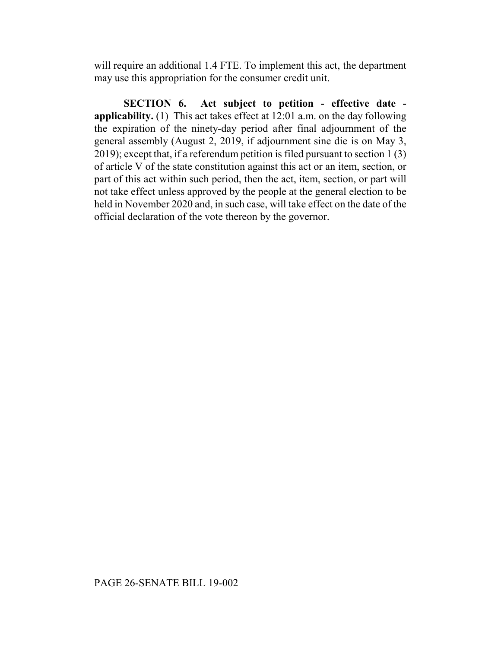will require an additional 1.4 FTE. To implement this act, the department may use this appropriation for the consumer credit unit.

**SECTION 6. Act subject to petition - effective date applicability.** (1) This act takes effect at 12:01 a.m. on the day following the expiration of the ninety-day period after final adjournment of the general assembly (August 2, 2019, if adjournment sine die is on May 3, 2019); except that, if a referendum petition is filed pursuant to section 1 (3) of article V of the state constitution against this act or an item, section, or part of this act within such period, then the act, item, section, or part will not take effect unless approved by the people at the general election to be held in November 2020 and, in such case, will take effect on the date of the official declaration of the vote thereon by the governor.